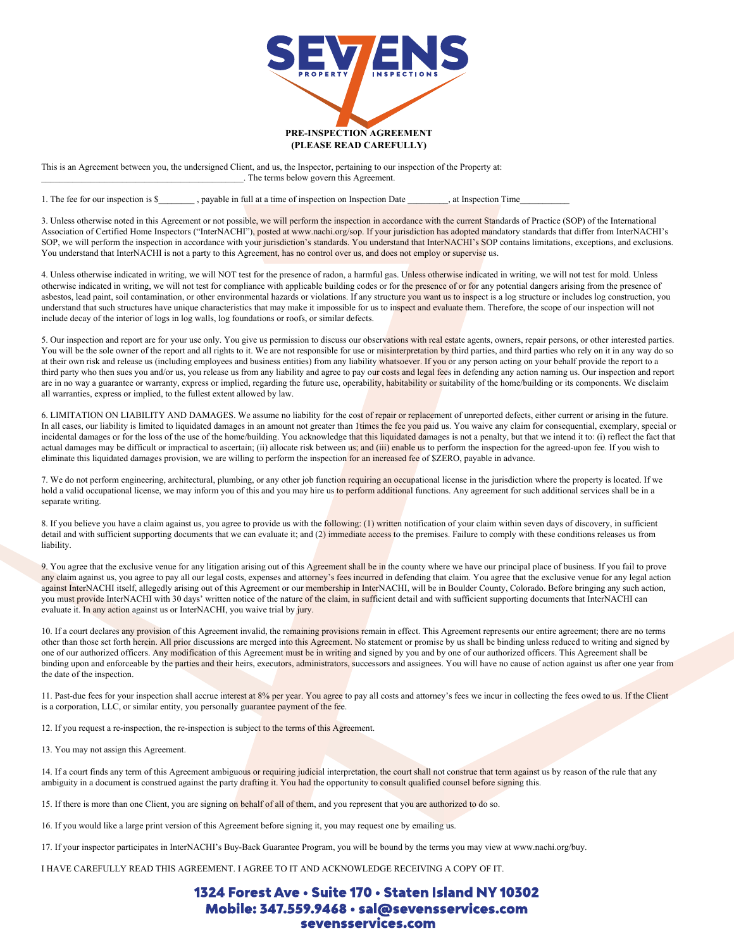

This is an Agreement between you, the undersigned Client, and us, the Inspector, pertaining to our inspection of the Property at: \_\_\_\_\_\_\_\_\_\_\_\_\_\_\_\_\_\_\_\_\_\_\_\_\_\_\_\_\_\_\_\_\_\_\_\_\_\_\_\_\_\_\_\_\_. The terms below govern this Agreement.

1. The fee for our inspection is \$\_\_\_\_\_\_\_\_\_, payable in full at a time of inspection on Inspection Date \_\_\_\_\_\_\_\_\_, at Inspection Time

3. Unless otherwise noted in this Agreement or not possible, we will perform the inspection in accordance with the current Standards of Practice (SOP) of the International Association of Certified Home Inspectors ("InterNACHI"), posted at www.nachi.org/sop. If your jurisdiction has adopted mandatory standards that differ from InterNACHI's SOP, we will perform the inspection in accordance with your jurisdiction's standards. You understand that InterNACHI's SOP contains limitations, exceptions, and exclusions. You understand that InterNACHI is not a party to this Agreement, has no control over us, and does not employ or supervise us.

4. Unless otherwise indicated in writing, we will NOT test for the presence of radon, a harmful gas. Unless otherwise indicated in writing, we will not test for mold. Unless otherwise indicated in writing, we will not test for compliance with applicable building codes or for the presence of or for any potential dangers arising from the presence of asbestos, lead paint, soil contamination, or other environmental hazards or violations. If any structure you want us to inspect is a log structure or includes log construction, you understand that such structures have unique characteristics that may make it impossible for us to inspect and evaluate them. Therefore, the scope of our inspection will not include decay of the interior of logs in log walls, log foundations or roofs, or similar defects.

5. Our inspection and report are for your use only. You give us permission to discuss our observations with real estate agents, owners, repair persons, or other interested parties. You will be the sole owner of the report and all rights to it. We are not responsible for use or misinterpretation by third parties, and third parties who rely on it in any way do so at their own risk and release us (including employees and business entities) from any liability whatsoever. If you or any person acting on your behalf provide the report to a third party who then sues you and/or us, you release us from any liability and agree to pay our costs and legal fees in defending any action naming us. Our inspection and report are in no way a guarantee or warranty, express or implied, regarding the future use, operability, habitability or suitability of the home/building or its components. We disclaim all warranties, express or implied, to the fullest extent allowed by law.

6. LIMITATION ON LIABILITY AND DAMAGES. We assume no liability for the cost of repair or replacement of unreported defects, either current or arising in the future. In all cases, our liability is limited to liquidated damages in an amount not greater than 1times the fee you paid us. You waive any claim for consequential, exemplary, special or incidental damages or for the loss of the use of the home/building. You acknowledge that this liquidated damages is not a penalty, but that we intend it to: (i) reflect the fact that actual damages may be difficult or impractical to ascertain; (ii) allocate risk between us; and (iii) enable us to perform the inspection for the agreed-upon fee. If you wish to eliminate this liquidated damages provision, we are willing to perform the inspection for an increased fee of \$ZERO, payable in advance.

7. We do not perform engineering, architectural, plumbing, or any other job function requiring an occupational license in the jurisdiction where the property is located. If we hold a valid occupational license, we may inform you of this and you may hire us to perform additional functions. Any agreement for such additional services shall be in a separate writing.

8. If you believe you have a claim against us, you agree to provide us with the following: (1) written notification of your claim within seven days of discovery, in sufficient detail and with sufficient supporting documents that we can evaluate it; and (2) immediate access to the premises. Failure to comply with these conditions releases us from liability.

9. You agree that the exclusive venue for any litigation arising out of this Agreement shall be in the county where we have our principal place of business. If you fail to prove any claim against us, you agree to pay all our legal costs, expenses and attorney's fees incurred in defending that claim. You agree that the exclusive venue for any legal action against InterNACHI itself, allegedly arising out of this Agreement or our membership in InterNACHI, will be in Boulder County, Colorado. Before bringing any such action, you must provide InterNACHI with 30 days' written notice of the nature of the claim, in sufficient detail and with sufficient supporting documents that InterNACHI can evaluate it. In any action against us or InterNACHI, you waive trial by jury.

10. If a court declares any provision of this Agreement invalid, the remaining provisions remain in effect. This Agreement represents our entire agreement; there are no terms other than those set forth herein. All prior discussions are merged into this Agreement. No statement or promise by us shall be binding unless reduced to writing and signed by one of our authorized officers. Any modification of this Agreement must be in writing and signed by you and by one of our authorized officers. This Agreement shall be binding upon and enforceable by the parties and their heirs, executors, administrators, successors and assignees. You will have no cause of action against us after one year from the date of the inspection.

11. Past-due fees for your inspection shall accrue interest at 8% per year. You agree to pay all costs and attorney's fees we incur in collecting the fees owed to us. If the Client is a corporation, LLC, or similar entity, you personally guarantee payment of the fee.

12. If you request a re-inspection, the re-inspection is subject to the terms of this Agreement.

13. You may not assign this Agreement.

14. If a court finds any term of this Agreement ambiguous or requiring judicial interpretation, the court shall not construe that term against us by reason of the rule that any ambiguity in a document is construed against the party drafting it. You had the opportunity to consult qualified counsel before signing this.

15. If there is more than one Client, you are signing on behalf of all of them, and you represent that you are authorized to do so.

16. If you would like a large print version of this Agreement before signing it, you may request one by emailing us.

17. If your inspector participates in InterNACHI's Buy-Back Guarantee Program, you will be bound by the terms you may view at www.nachi.org/buy.

I HAVE CAREFULLY READ THIS AGREEMENT. I AGREE TO IT AND ACKNOWLEDGE RECEIVING A COPY OF IT.

## 1324 Forest Ave · Suite 170 · Staten Island NY 10302 Mobile: 347.559.9468 · sal@sevensservices.com sevensservices.com